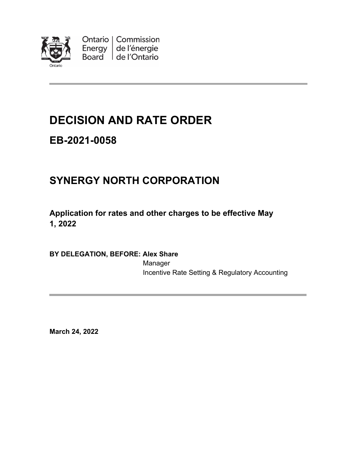

Ontario | Commission Energy  $\vert$  de l'énergie Board de l'Ontario

# **DECISION AND RATE ORDER**

# **EB-2021-0058**

# **SYNERGY NORTH CORPORATION**

## **Application for rates and other charges to be effective May 1, 2022**

## **BY DELEGATION, BEFORE: Alex Share**

Manager Incentive Rate Setting & Regulatory Accounting

**March 24, 2022**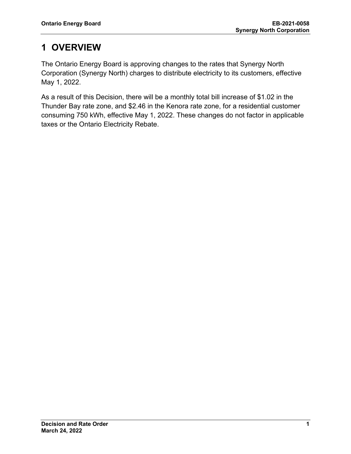# **1 OVERVIEW**

The Ontario Energy Board is approving changes to the rates that Synergy North Corporation (Synergy North) charges to distribute electricity to its customers, effective May 1, 2022.

As a result of this Decision, there will be a monthly total bill increase of \$1.02 in the Thunder Bay rate zone, and \$2.46 in the Kenora rate zone, for a residential customer consuming 750 kWh, effective May 1, 2022. These changes do not factor in applicable taxes or the Ontario Electricity Rebate.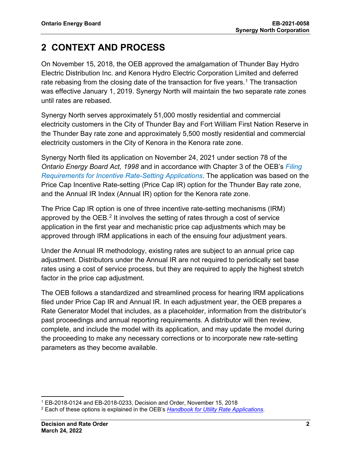# **2 CONTEXT AND PROCESS**

On November 15, 2018, the OEB approved the amalgamation of Thunder Bay Hydro Electric Distribution Inc. and Kenora Hydro Electric Corporation Limited and deferred rate rebasing from the closing date of the transaction for five years.<sup>[1](#page-2-0)</sup> The transaction was effective January 1, 2019. Synergy North will maintain the two separate rate zones until rates are rebased.

Synergy North serves approximately 51,000 mostly residential and commercial electricity customers in the City of Thunder Bay and Fort William First Nation Reserve in the Thunder Bay rate zone and approximately 5,500 mostly residential and commercial electricity customers in the City of Kenora in the Kenora rate zone.

Synergy North filed its application on November 24, 2021 under section 78 of the *Ontario Energy Board Act, 1998* and in accordance with Chapter 3 of the OEB's *[Filing](https://www.oeb.ca/sites/default/files/Chapter-3-Filing-Requirements-20200514.pdf)  [Requirements for Incentive Rate-Setting Applications](https://www.oeb.ca/sites/default/files/Chapter-3-Filing-Requirements-20200514.pdf)*. The application was based on the Price Cap Incentive Rate-setting (Price Cap IR) option for the Thunder Bay rate zone, and the Annual IR Index (Annual IR) option for the Kenora rate zone.

The Price Cap IR option is one of three incentive rate-setting mechanisms (IRM) approved by the  $OEB<sup>2</sup>$  $OEB<sup>2</sup>$  $OEB<sup>2</sup>$  It involves the setting of rates through a cost of service application in the first year and mechanistic price cap adjustments which may be approved through IRM applications in each of the ensuing four adjustment years.

Under the Annual IR methodology, existing rates are subject to an annual price cap adjustment. Distributors under the Annual IR are not required to periodically set base rates using a cost of service process, but they are required to apply the highest stretch factor in the price cap adjustment.

The OEB follows a standardized and streamlined process for hearing IRM applications filed under Price Cap IR and Annual IR. In each adjustment year, the OEB prepares a Rate Generator Model that includes, as a placeholder, information from the distributor's past proceedings and annual reporting requirements. A distributor will then review, complete, and include the model with its application, and may update the model during the proceeding to make any necessary corrections or to incorporate new rate-setting parameters as they become available.

<span id="page-2-0"></span> $1$  EB-2018-0124 and EB-2018-0233, Decision and Order, November 15, 2018

<span id="page-2-1"></span><sup>2</sup> Each of these options is explained in the OEB's *[Handbook for Utility Rate Applications](https://www.oeb.ca/industry/rules-codes-and-requirements/handbook-utility-rate-applications)*.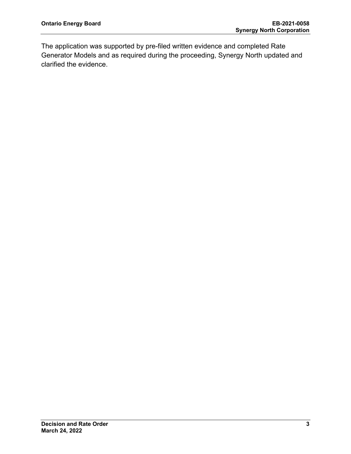The application was supported by pre-filed written evidence and completed Rate Generator Models and as required during the proceeding, Synergy North updated and clarified the evidence.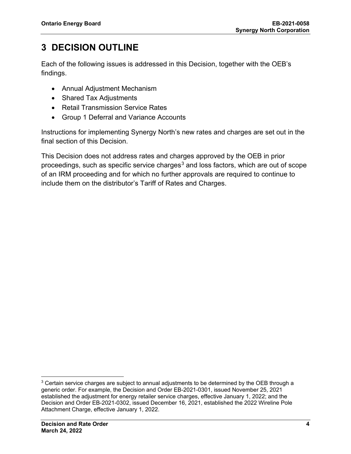# **3 DECISION OUTLINE**

Each of the following issues is addressed in this Decision, together with the OEB's findings.

- Annual Adjustment Mechanism
- Shared Tax Adjustments
- Retail Transmission Service Rates
- Group 1 Deferral and Variance Accounts

Instructions for implementing Synergy North's new rates and charges are set out in the final section of this Decision.

This Decision does not address rates and charges approved by the OEB in prior proceedings, such as specific service charges<sup>[3](#page-4-0)</sup> and loss factors, which are out of scope of an IRM proceeding and for which no further approvals are required to continue to include them on the distributor's Tariff of Rates and Charges.

<span id="page-4-0"></span> $3$  Certain service charges are subject to annual adjustments to be determined by the OEB through a generic order. For example, the Decision and Order EB-2021-0301, issued November 25, 2021 established the adjustment for energy retailer service charges, effective January 1, 2022; and the Decision and Order EB-2021-0302, issued December 16, 2021, established the 2022 Wireline Pole Attachment Charge, effective January 1, 2022.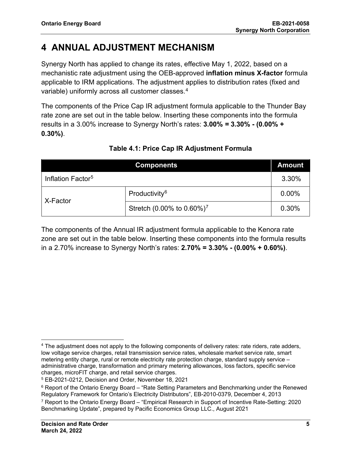# **4 ANNUAL ADJUSTMENT MECHANISM**

Synergy North has applied to change its rates, effective May 1, 2022, based on a mechanistic rate adjustment using the OEB-approved **inflation minus X-factor** formula applicable to IRM applications. The adjustment applies to distribution rates (fixed and variable) uniformly across all customer classes.[4](#page-5-0)

The components of the Price Cap IR adjustment formula applicable to the Thunder Bay rate zone are set out in the table below. Inserting these components into the formula results in a 3.00% increase to Synergy North's rates: **3.00%** *=* **3.30% - (0.00% + 0.30%)**.

| <b>Components</b>             |                                       | <b>Amount</b> |
|-------------------------------|---------------------------------------|---------------|
| Inflation Factor <sup>5</sup> |                                       | 3.30%         |
| X-Factor                      | Productivity <sup>6</sup>             | $0.00\%$      |
|                               | Stretch (0.00% to 0.60%) <sup>7</sup> | 0.30%         |

## **Table 4.1: Price Cap IR Adjustment Formula**

The components of the Annual IR adjustment formula applicable to the Kenora rate zone are set out in the table below. Inserting these components into the formula results in a 2.70% increase to Synergy North's rates: **2.70% = 3.30% - (0.00% + 0.60%)**.

<span id="page-5-0"></span><sup>4</sup> The adjustment does not apply to the following components of delivery rates: rate riders, rate adders, low voltage service charges, retail transmission service rates, wholesale market service rate, smart metering entity charge, rural or remote electricity rate protection charge, standard supply service – administrative charge, transformation and primary metering allowances, loss factors, specific service charges, microFIT charge, and retail service charges.

<span id="page-5-1"></span><sup>5</sup> EB-2021-0212, Decision and Order, November 18, 2021

<span id="page-5-2"></span><sup>&</sup>lt;sup>6</sup> Report of the Ontario Energy Board – "Rate Setting Parameters and Benchmarking under the Renewed Regulatory Framework for Ontario's Electricity Distributors", EB-2010-0379, December 4, 2013

<span id="page-5-3"></span><sup>&</sup>lt;sup>7</sup> Report to the Ontario Energy Board – "Empirical Research in Support of Incentive Rate-Setting: 2020 Benchmarking Update", prepared by Pacific Economics Group LLC., August 2021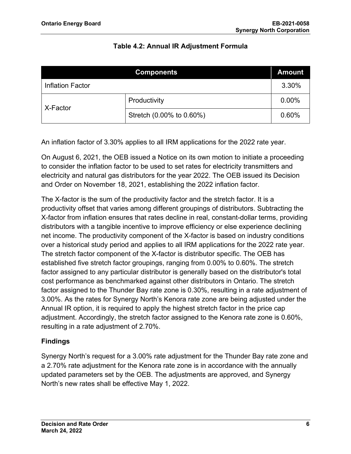## **Table 4.2: Annual IR Adjustment Formula**

| <b>Components</b> |                          | <b>Amount</b> |
|-------------------|--------------------------|---------------|
| Inflation Factor  |                          | 3.30%         |
| X-Factor          | Productivity             | 0.00%         |
|                   | Stretch (0.00% to 0.60%) | 0.60%         |

An inflation factor of 3.30% applies to all IRM applications for the 2022 rate year.

On August 6, 2021, the OEB issued a Notice on its own motion to initiate a proceeding to consider the inflation factor to be used to set rates for electricity transmitters and electricity and natural gas distributors for the year 2022. The OEB issued its Decision and Order on November 18, 2021, establishing the 2022 inflation factor.

The X-factor is the sum of the productivity factor and the stretch factor. It is a productivity offset that varies among different groupings of distributors. Subtracting the X-factor from inflation ensures that rates decline in real, constant-dollar terms, providing distributors with a tangible incentive to improve efficiency or else experience declining net income. The productivity component of the X-factor is based on industry conditions over a historical study period and applies to all IRM applications for the 2022 rate year. The stretch factor component of the X-factor is distributor specific. The OEB has established five stretch factor groupings, ranging from 0.00% to 0.60%. The stretch factor assigned to any particular distributor is generally based on the distributor's total cost performance as benchmarked against other distributors in Ontario. The stretch factor assigned to the Thunder Bay rate zone is 0.30%, resulting in a rate adjustment of 3.00%. As the rates for Synergy North's Kenora rate zone are being adjusted under the Annual IR option, it is required to apply the highest stretch factor in the price cap adjustment. Accordingly, the stretch factor assigned to the Kenora rate zone is 0.60%, resulting in a rate adjustment of 2.70%.

## **Findings**

Synergy North's request for a 3.00% rate adjustment for the Thunder Bay rate zone and a 2.70% rate adjustment for the Kenora rate zone is in accordance with the annually updated parameters set by the OEB. The adjustments are approved, and Synergy North's new rates shall be effective May 1, 2022.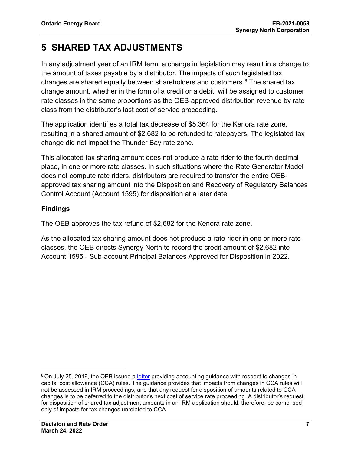# **5 SHARED TAX ADJUSTMENTS**

In any adjustment year of an IRM term, a change in legislation may result in a change to the amount of taxes payable by a distributor. The impacts of such legislated tax changes are shared equally between shareholders and customers. $8$  The shared tax change amount, whether in the form of a credit or a debit, will be assigned to customer rate classes in the same proportions as the OEB-approved distribution revenue by rate class from the distributor's last cost of service proceeding.

The application identifies a total tax decrease of \$5,364 for the Kenora rate zone, resulting in a shared amount of \$2,682 to be refunded to ratepayers. The legislated tax change did not impact the Thunder Bay rate zone.

This allocated tax sharing amount does not produce a rate rider to the fourth decimal place, in one or more rate classes. In such situations where the Rate Generator Model does not compute rate riders, distributors are required to transfer the entire OEBapproved tax sharing amount into the Disposition and Recovery of Regulatory Balances Control Account (Account 1595) for disposition at a later date.

## **Findings**

The OEB approves the tax refund of \$2,682 for the Kenora rate zone.

As the allocated tax sharing amount does not produce a rate rider in one or more rate classes, the OEB directs Synergy North to record the credit amount of \$2,682 into Account 1595 - Sub-account Principal Balances Approved for Disposition in 2022.

<span id="page-7-0"></span><sup>&</sup>lt;sup>8</sup> On July 25, 2019, the OEB issued a [letter](https://www.oeb.ca/sites/default/files/OEBltr-Acctng-Guidance-Bill-C97-20190725.pdf) providing accounting guidance with respect to changes in capital cost allowance (CCA) rules. The guidance provides that impacts from changes in CCA rules will not be assessed in IRM proceedings, and that any request for disposition of amounts related to CCA changes is to be deferred to the distributor's next cost of service rate proceeding. A distributor's request for disposition of shared tax adjustment amounts in an IRM application should, therefore, be comprised only of impacts for tax changes unrelated to CCA.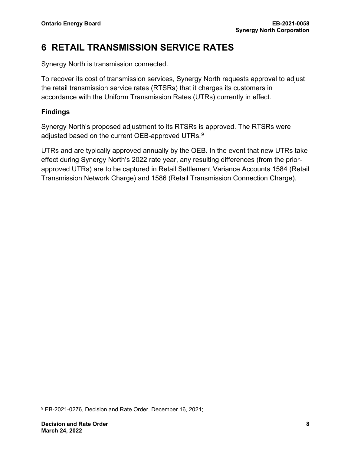# **6 RETAIL TRANSMISSION SERVICE RATES**

Synergy North is transmission connected.

To recover its cost of transmission services, Synergy North requests approval to adjust the retail transmission service rates (RTSRs) that it charges its customers in accordance with the Uniform Transmission Rates (UTRs) currently in effect.

## **Findings**

Synergy North's proposed adjustment to its RTSRs is approved. The RTSRs were adjusted based on the current OEB-approved UTRs. $^9$  $^9$ 

UTRs and are typically approved annually by the OEB. In the event that new UTRs take effect during Synergy North's 2022 rate year, any resulting differences (from the priorapproved UTRs) are to be captured in Retail Settlement Variance Accounts 1584 (Retail Transmission Network Charge) and 1586 (Retail Transmission Connection Charge).

<span id="page-8-0"></span><sup>9</sup> EB-2021-0276, Decision and Rate Order, December 16, 2021;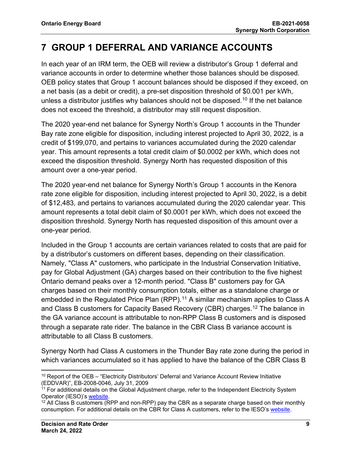## **7 GROUP 1 DEFERRAL AND VARIANCE ACCOUNTS**

In each year of an IRM term, the OEB will review a distributor's Group 1 deferral and variance accounts in order to determine whether those balances should be disposed. OEB policy states that Group 1 account balances should be disposed if they exceed, on a net basis (as a debit or credit), a pre-set disposition threshold of \$0.001 per kWh, unless a distributor justifies why balances should not be disposed.<sup>[10](#page-9-0)</sup> If the net balance does not exceed the threshold, a distributor may still request disposition.

The 2020 year-end net balance for Synergy North's Group 1 accounts in the Thunder Bay rate zone eligible for disposition, including interest projected to April 30, 2022, is a credit of \$199,070, and pertains to variances accumulated during the 2020 calendar year. This amount represents a total credit claim of \$0.0002 per kWh, which does not exceed the disposition threshold. Synergy North has requested disposition of this amount over a one-year period.

The 2020 year-end net balance for Synergy North's Group 1 accounts in the Kenora rate zone eligible for disposition, including interest projected to April 30, 2022, is a debit of \$12,483, and pertains to variances accumulated during the 2020 calendar year. This amount represents a total debit claim of \$0.0001 per kWh, which does not exceed the disposition threshold. Synergy North has requested disposition of this amount over a one-year period.

Included in the Group 1 accounts are certain variances related to costs that are paid for by a distributor's customers on different bases, depending on their classification. Namely, "Class A" customers, who participate in the Industrial Conservation Initiative, pay for Global Adjustment (GA) charges based on their contribution to the five highest Ontario demand peaks over a 12-month period. "Class B" customers pay for GA charges based on their monthly consumption totals, either as a standalone charge or embedded in the Regulated Price Plan (RPP).<sup>[11](#page-9-1)</sup> A similar mechanism applies to Class A and Class B customers for Capacity Based Recovery (CBR) charges.[12](#page-9-2) The balance in the GA variance account is attributable to non-RPP Class B customers and is disposed through a separate rate rider. The balance in the CBR Class B variance account is attributable to all Class B customers.

Synergy North had Class A customers in the Thunder Bay rate zone during the period in which variances accumulated so it has applied to have the balance of the CBR Class B

<span id="page-9-0"></span><sup>&</sup>lt;sup>10</sup> Report of the OEB – "Electricity Distributors' Deferral and Variance Account Review Initiative (EDDVAR)", EB-2008-0046, July 31, 2009

<span id="page-9-1"></span><sup>&</sup>lt;sup>11</sup> For additional details on the Global Adjustment charge, refer to the Independent Electricity System Operator (IESO)'s [website.](https://www.ieso.ca/en/Power-Data/Price-Overview/Global-Adjustment)

<span id="page-9-2"></span> $12$  All Class B customers (RPP and non-RPP) pay the CBR as a separate charge based on their monthly consumption. For additional details on the CBR for Class A customers, refer to the IESO's [website.](https://www.ieso.ca/en/Sector-Participants/Settlements/Capacity-Based-Recovery-Amount-for-Class-A)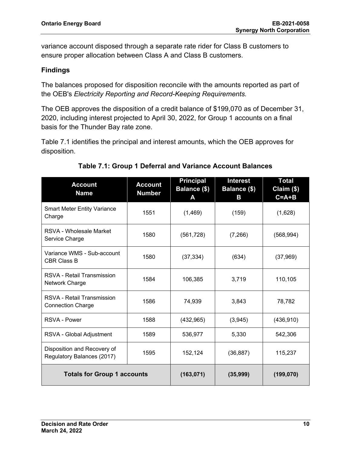variance account disposed through a separate rate rider for Class B customers to ensure proper allocation between Class A and Class B customers.

## **Findings**

The balances proposed for disposition reconcile with the amounts reported as part of the OEB's *Electricity Reporting and Record-Keeping Requirements.*

The OEB approves the disposition of a credit balance of \$199,070 as of December 31, 2020, including interest projected to April 30, 2022, for Group 1 accounts on a final basis for the Thunder Bay rate zone.

Table 7.1 identifies the principal and interest amounts, which the OEB approves for disposition.

| <b>Account</b><br><b>Name</b>                             | <b>Account</b><br><b>Number</b> | <b>Principal</b><br>Balance (\$)<br>A | <b>Interest</b><br>Balance (\$)<br>В | <b>Total</b><br>Claim (\$)<br>$C = A + B$ |
|-----------------------------------------------------------|---------------------------------|---------------------------------------|--------------------------------------|-------------------------------------------|
| <b>Smart Meter Entity Variance</b><br>Charge              | 1551                            | (1,469)                               | (159)                                | (1,628)                                   |
| RSVA - Wholesale Market<br>Service Charge                 | 1580                            | (561, 728)                            | (7,266)                              | (568, 994)                                |
| Variance WMS - Sub-account<br><b>CBR Class B</b>          | 1580                            | (37, 334)                             | (634)                                | (37, 969)                                 |
| RSVA - Retail Transmission<br>Network Charge              | 1584                            | 106,385                               | 3,719                                | 110,105                                   |
| RSVA - Retail Transmission<br><b>Connection Charge</b>    | 1586                            | 74,939                                | 3,843                                | 78,782                                    |
| RSVA - Power                                              | 1588                            | (432, 965)                            | (3,945)                              | (436, 910)                                |
| RSVA - Global Adjustment                                  | 1589                            | 536,977                               | 5,330                                | 542,306                                   |
| Disposition and Recovery of<br>Regulatory Balances (2017) | 1595                            | 152,124                               | (36, 887)                            | 115,237                                   |
| <b>Totals for Group 1 accounts</b>                        |                                 | (163, 071)                            | (35,999)                             | (199, 070)                                |

## **Table 7.1: Group 1 Deferral and Variance Account Balances**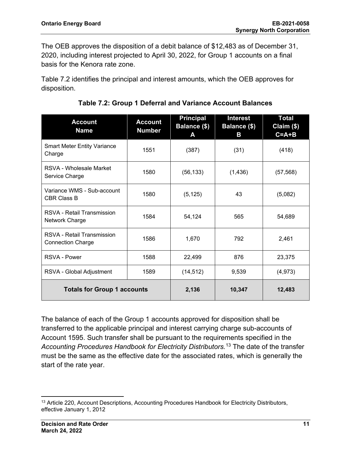The OEB approves the disposition of a debit balance of \$12,483 as of December 31, 2020, including interest projected to April 30, 2022, for Group 1 accounts on a final basis for the Kenora rate zone.

Table 7.2 identifies the principal and interest amounts, which the OEB approves for disposition.

| <b>Account</b><br><b>Name</b>                          | <b>Account</b><br><b>Number</b> | <b>Principal</b><br><b>Balance (\$)</b><br>A | <b>Interest</b><br>Balance (\$)<br>B | <b>Total</b><br>Claim (\$)<br>$C = A + B$ |
|--------------------------------------------------------|---------------------------------|----------------------------------------------|--------------------------------------|-------------------------------------------|
| <b>Smart Meter Entity Variance</b><br>Charge           | 1551                            | (387)                                        | (31)                                 | (418)                                     |
| RSVA - Wholesale Market<br>Service Charge              | 1580                            | (56, 133)                                    | (1, 436)                             | (57, 568)                                 |
| Variance WMS - Sub-account<br><b>CBR Class B</b>       | 1580                            | (5, 125)                                     | 43                                   | (5,082)                                   |
| RSVA - Retail Transmission<br><b>Network Charge</b>    | 1584                            | 54,124                                       | 565                                  | 54,689                                    |
| RSVA - Retail Transmission<br><b>Connection Charge</b> | 1586                            | 1,670                                        | 792                                  | 2,461                                     |
| RSVA - Power                                           | 1588                            | 22,499                                       | 876                                  | 23,375                                    |
| RSVA - Global Adjustment                               | 1589                            | (14, 512)                                    | 9,539                                | (4, 973)                                  |
| <b>Totals for Group 1 accounts</b>                     |                                 | 2,136                                        | 10,347                               | 12,483                                    |

**Table 7.2: Group 1 Deferral and Variance Account Balances**

The balance of each of the Group 1 accounts approved for disposition shall be transferred to the applicable principal and interest carrying charge sub-accounts of Account 1595. Such transfer shall be pursuant to the requirements specified in the *Accounting Procedures Handbook for Electricity Distributors.*[13](#page-11-0) The date of the transfer must be the same as the effective date for the associated rates, which is generally the start of the rate year.

<span id="page-11-0"></span><sup>&</sup>lt;sup>13</sup> Article 220, Account Descriptions, Accounting Procedures Handbook for Electricity Distributors, effective January 1, 2012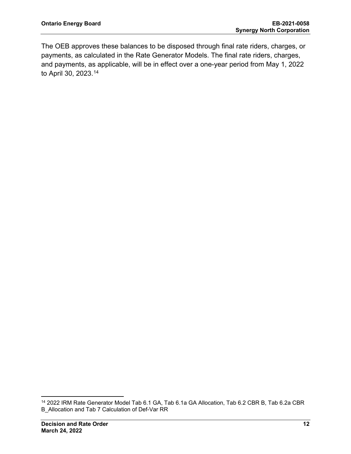The OEB approves these balances to be disposed through final rate riders, charges, or payments, as calculated in the Rate Generator Models. The final rate riders, charges, and payments, as applicable, will be in effect over a one-year period from May 1, 2022 to April 30, 2023. [14](#page-12-0)

<span id="page-12-0"></span><sup>14</sup> 2022 IRM Rate Generator Model Tab 6.1 GA, Tab 6.1a GA Allocation, Tab 6.2 CBR B, Tab 6.2a CBR B\_Allocation and Tab 7 Calculation of Def-Var RR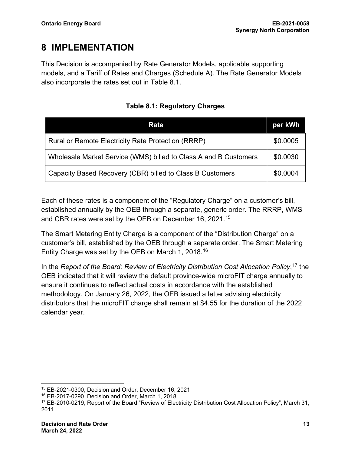## **8 IMPLEMENTATION**

This Decision is accompanied by Rate Generator Models, applicable supporting models, and a Tariff of Rates and Charges (Schedule A). The Rate Generator Models also incorporate the rates set out in Table 8.1.

| Rate                                                             |          |
|------------------------------------------------------------------|----------|
| Rural or Remote Electricity Rate Protection (RRRP)               | \$0.0005 |
| Wholesale Market Service (WMS) billed to Class A and B Customers |          |
| Capacity Based Recovery (CBR) billed to Class B Customers        | \$0.0004 |

**Table 8.1: Regulatory Charges**

Each of these rates is a component of the "Regulatory Charge" on a customer's bill, established annually by the OEB through a separate, generic order. The RRRP, WMS and CBR rates were set by the OEB on December 16, 2021.[15](#page-13-0)

The Smart Metering Entity Charge is a component of the "Distribution Charge" on a customer's bill, established by the OEB through a separate order. The Smart Metering Entity Charge was set by the OEB on March 1, 2018.[16](#page-13-1)

In the *Report of the Board: Review of Electricity Distribution Cost Allocation Policy*, [17](#page-13-2) the OEB indicated that it will review the default province-wide microFIT charge annually to ensure it continues to reflect actual costs in accordance with the established methodology. On January 26, 2022, the OEB issued a letter advising electricity distributors that the microFIT charge shall remain at \$4.55 for the duration of the 2022 calendar year.

<span id="page-13-0"></span><sup>15</sup> EB-2021-0300, Decision and Order, December 16, 2021

<span id="page-13-1"></span><sup>16</sup> EB-2017-0290, Decision and Order, March 1, 2018

<span id="page-13-2"></span><sup>&</sup>lt;sup>17</sup> EB-2010-0219, Report of the Board "Review of Electricity Distribution Cost Allocation Policy", March 31, 2011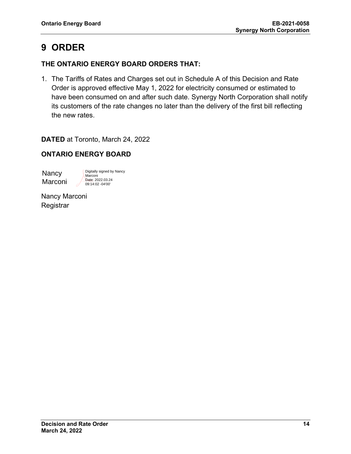# **9 ORDER**

## **THE ONTARIO ENERGY BOARD ORDERS THAT:**

1. The Tariffs of Rates and Charges set out in Schedule A of this Decision and Rate Order is approved effective May 1, 2022 for electricity consumed or estimated to have been consumed on and after such date. Synergy North Corporation shall notify its customers of the rate changes no later than the delivery of the first bill reflecting the new rates.

**DATED** at Toronto, March 24, 2022

## **ONTARIO ENERGY BOARD**

**Nancy Marconi** 

Digitally signed by Nancy Marconi Date: 2022.03.24 09:14:02 -04'00'

Nancy Marconi **Registrar**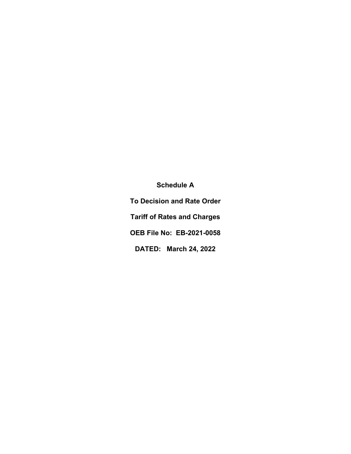**Schedule A To Decision and Rate Order Tariff of Rates and Charges OEB File No: EB-2021-0058 DATED: March 24, 2022**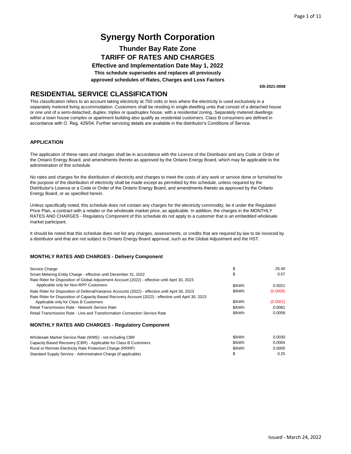## **Thunder Bay Rate Zone TARIFF OF RATES AND CHARGES**

**Effective and Implementation Date May 1, 2022 This schedule supersedes and replaces all previously approved schedules of Rates, Charges and Loss Factors**

**EB-2021-0058**

### **RESIDENTIAL SERVICE CLASSIFICATION**

This classification refers to an account taking electricity at 750 volts or less where the electricity is used exclusively in a separately metered living accommodation. Customers shall be residing in single-dwelling units that consist of a detached house or one unit of a semi-detached, duplex, triplex or quadruplex house, with a residential zoning. Separately metered dwellings within a town house complex or apartment building also qualify as residential customers. Class B consumers are defined in accordance with O. Reg. 429/04. Further servicing details are available in the distributor's Conditions of Service.

#### **APPLICATION**

The application of these rates and charges shall be in accordance with the Licence of the Distributor and any Code or Order of the Ontario Energy Board, and amendments thereto as approved by the Ontario Energy Board, which may be applicable to the administration of this schedule.

No rates and charges for the distribution of electricity and charges to meet the costs of any work or service done or furnished for the purpose of the distribution of electricity shall be made except as permitted by this schedule, unless required by the Distributor's Licence or a Code or Order of the Ontario Energy Board, and amendments thereto as approved by the Ontario Energy Board, or as specified herein.

Unless specifically noted, this schedule does not contain any charges for the electricity commodity, be it under the Regulated Price Plan, a contract with a retailer or the wholesale market price, as applicable. In addition, the charges in the MONTHLY RATES AND CHARGES - Regulatory Component of this schedule do not apply to a customer that is an embedded wholesale market participant.

It should be noted that this schedule does not list any charges, assessments, or credits that are required by law to be invoiced by a distributor and that are not subject to Ontario Energy Board approval, such as the Global Adjustment and the HST.

| Service Charge                                                                                        |          | 26.40    |
|-------------------------------------------------------------------------------------------------------|----------|----------|
| Smart Metering Entity Charge - effective until December 31, 2022                                      | S        | 0.57     |
| Rate Rider for Disposition of Global Adjustment Account (2022) - effective until April 30, 2023       |          |          |
| Applicable only for Non-RPP Customers                                                                 | \$/kWh   | 0.0021   |
| Rate Rider for Disposition of Deferral/Variance Accounts (2022) - effective until April 30, 2023      | \$/kWh   | (0.0008) |
| Rate Rider for Disposition of Capacity Based Recovery Account (2022) - effective until April 30, 2023 |          |          |
| Applicable only for Class B Customers                                                                 | \$/kWh   | (0.0001) |
| Retail Transmission Rate - Network Service Rate                                                       | \$/kWh   | 0.0081   |
| Retail Transmission Rate - Line and Transformation Connection Service Rate                            | \$/kWh   | 0.0058   |
| <b>MONTHLY RATES AND CHARGES - Regulatory Component</b>                                               |          |          |
| Wholesale Market Service Rate (WMS) - not including CBR                                               | \$/kWh   | 0.0030   |
| $O_{\text{max}}$ is the December of $O(1)$ and $O(1)$ and $O(1)$ and $O(1)$ and $O(1)$ and $O(1)$     | 0/1.111L | 0.0001   |

| Standard Supply Service - Administrative Charge (if applicable)  |        | 0.25   |
|------------------------------------------------------------------|--------|--------|
| Rural or Remote Electricity Rate Protection Charge (RRRP)        | \$/kWh | 0.0005 |
| Capacity Based Recovery (CBR) - Applicable for Class B Customers | \$/kWh | 0.0004 |
| Wholesale Market Service Rate (WMS) - not including CBR          | \$/kWh | 0.0030 |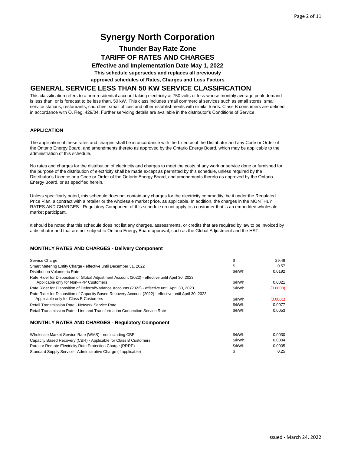### **Thunder Bay Rate Zone TARIFF OF RATES AND CHARGES**

**Effective and Implementation Date May 1, 2022 This schedule supersedes and replaces all previously**

**approved schedules of Rates, Charges and Loss Factors**

### **GENERAL SERVICE LESS THAN 50 KW SERVICE CLASSIFICATION**

This classification refers to a non-residential account taking electricity at 750 volts or less whose monthly average peak demand is less than, or is forecast to be less than, 50 kW. This class includes small commercial services such as small stores, small service stations, restaurants, churches, small offices and other establishments with similar loads. Class B consumers are defined in accordance with O. Reg. 429/04. Further servicing details are available in the distributor's Conditions of Service.

#### **APPLICATION**

The application of these rates and charges shall be in accordance with the Licence of the Distributor and any Code or Order of the Ontario Energy Board, and amendments thereto as approved by the Ontario Energy Board, which may be applicable to the administration of this schedule.

No rates and charges for the distribution of electricity and charges to meet the costs of any work or service done or furnished for the purpose of the distribution of electricity shall be made except as permitted by this schedule, unless required by the Distributor's Licence or a Code or Order of the Ontario Energy Board, and amendments thereto as approved by the Ontario Energy Board, or as specified herein.

Unless specifically noted, this schedule does not contain any charges for the electricity commodity, be it under the Regulated Price Plan, a contract with a retailer or the wholesale market price, as applicable. In addition, the charges in the MONTHLY RATES AND CHARGES - Regulatory Component of this schedule do not apply to a customer that is an embedded wholesale market participant.

It should be noted that this schedule does not list any charges, assessments, or credits that are required by law to be invoiced by a distributor and that are not subject to Ontario Energy Board approval, such as the Global Adjustment and the HST.

| Service Charge                                                                                                                                 | \$     | 29.49    |
|------------------------------------------------------------------------------------------------------------------------------------------------|--------|----------|
| Smart Metering Entity Charge - effective until December 31, 2022                                                                               | S      | 0.57     |
| Distribution Volumetric Rate                                                                                                                   | \$/kWh | 0.0192   |
| Rate Rider for Disposition of Global Adjustment Account (2022) - effective until April 30, 2023<br>Applicable only for Non-RPP Customers       | \$/kWh | 0.0021   |
| Rate Rider for Disposition of Deferral/Variance Accounts (2022) - effective until April 30, 2023                                               | \$/kWh | (0.0008) |
| Rate Rider for Disposition of Capacity Based Recovery Account (2022) - effective until April 30, 2023<br>Applicable only for Class B Customers | \$/kWh | (0.0001) |
| Retail Transmission Rate - Network Service Rate                                                                                                | \$/kWh | 0.0077   |
| Retail Transmission Rate - Line and Transformation Connection Service Rate                                                                     | \$/kWh | 0.0053   |
| <b>MONTHLY RATES AND CHARGES - Regulatory Component</b>                                                                                        |        |          |

| Wholesale Market Service Rate (WMS) - not including CBR          | \$/kWh | 0.0030 |
|------------------------------------------------------------------|--------|--------|
| Capacity Based Recovery (CBR) - Applicable for Class B Customers | \$/kWh | 0.0004 |
| Rural or Remote Electricity Rate Protection Charge (RRRP)        | \$/kWh | 0.0005 |
| Standard Supply Service - Administrative Charge (if applicable)  |        | 0.25   |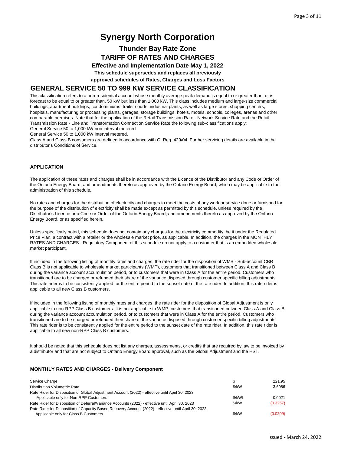### **Thunder Bay Rate Zone TARIFF OF RATES AND CHARGES**

**Effective and Implementation Date May 1, 2022 This schedule supersedes and replaces all previously**

**approved schedules of Rates, Charges and Loss Factors**

### **GENERAL SERVICE 50 TO 999 KW SERVICE CLASSIFICATION**

This classification refers to a non-residential account whose monthly average peak demand is equal to or greater than, or is forecast to be equal to or greater than, 50 kW but less than 1,000 kW. This class includes medium and large-size commercial buildings, apartment buildings, condominiums, trailer courts, industrial plants, as well as large stores, shopping centers, hospitals, manufacturing or processing plants, garages, storage buildings, hotels, motels, schools, colleges, arenas and other comparable premises. Note that for the application of the Retail Transmission Rate - Network Service Rate and the Retail Transmission Rate - Line and Transformation Connection Service Rate the following sub-classifications apply: General Service 50 to 1,000 kW non-interval metered

General Service 50 to 1,000 kW interval metered.

Class A and Class B consumers are defined in accordance with O. Reg. 429/04. Further servicing details are available in the distributor's Conditions of Service.

#### **APPLICATION**

The application of these rates and charges shall be in accordance with the Licence of the Distributor and any Code or Order of the Ontario Energy Board, and amendments thereto as approved by the Ontario Energy Board, which may be applicable to the administration of this schedule.

No rates and charges for the distribution of electricity and charges to meet the costs of any work or service done or furnished for the purpose of the distribution of electricity shall be made except as permitted by this schedule, unless required by the Distributor's Licence or a Code or Order of the Ontario Energy Board, and amendments thereto as approved by the Ontario Energy Board, or as specified herein.

Unless specifically noted, this schedule does not contain any charges for the electricity commodity, be it under the Regulated Price Plan, a contract with a retailer or the wholesale market price, as applicable. In addition, the charges in the MONTHLY RATES AND CHARGES - Regulatory Component of this schedule do not apply to a customer that is an embedded wholesale market participant.

If included in the following listing of monthly rates and charges, the rate rider for the disposition of WMS - Sub-account CBR Class B is not applicable to wholesale market participants (WMP), customers that transitioned between Class A and Class B during the variance account accumulation period, or to customers that were in Class A for the entire period. Customers who transitioned are to be charged or refunded their share of the variance disposed through customer specific billing adjustments. This rate rider is to be consistently applied for the entire period to the sunset date of the rate rider. In addition, this rate rider is applicable to all new Class B customers.

If included in the following listing of monthly rates and charges, the rate rider for the disposition of Global Adjustment is only applicable to non-RPP Class B customers. It is not applicable to WMP, customers that transitioned between Class A and Class B during the variance account accumulation period, or to customers that were in Class A for the entire period. Customers who transitioned are to be charged or refunded their share of the variance disposed through customer specific billing adjustments. This rate rider is to be consistently applied for the entire period to the sunset date of the rate rider. In addition, this rate rider is applicable to all new non-RPP Class B customers.

It should be noted that this schedule does not list any charges, assessments, or credits that are required by law to be invoiced by a distributor and that are not subject to Ontario Energy Board approval, such as the Global Adjustment and the HST.

| Service Charge                                                                                        | S      | 221.95   |
|-------------------------------------------------------------------------------------------------------|--------|----------|
| Distribution Volumetric Rate                                                                          | \$/kW  | 3.6086   |
| Rate Rider for Disposition of Global Adjustment Account (2022) - effective until April 30, 2023       |        |          |
| Applicable only for Non-RPP Customers                                                                 | \$/kWh | 0.0021   |
| Rate Rider for Disposition of Deferral/Variance Accounts (2022) - effective until April 30, 2023      | \$/kW  | (0.3257) |
| Rate Rider for Disposition of Capacity Based Recovery Account (2022) - effective until April 30, 2023 |        |          |
| Applicable only for Class B Customers                                                                 | \$/kW  | (0.0209) |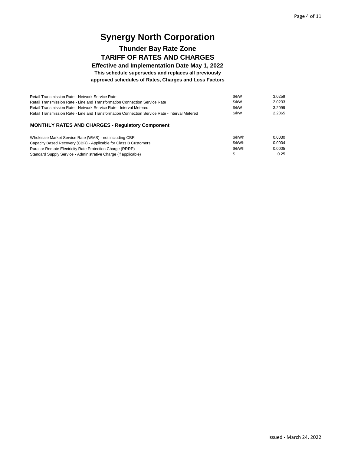## **Thunder Bay Rate Zone TARIFF OF RATES AND CHARGES**

**Effective and Implementation Date May 1, 2022 This schedule supersedes and replaces all previously approved schedules of Rates, Charges and Loss Factors**

| Retail Transmission Rate - Network Service Rate                                               | \$/kW     | 3.0259  |
|-----------------------------------------------------------------------------------------------|-----------|---------|
| Retail Transmission Rate - Line and Transformation Connection Service Rate                    | \$/kW     | 2.0233  |
| Retail Transmission Rate - Network Service Rate - Interval Metered                            | \$/kW     | 3.2099  |
| Retail Transmission Rate - Line and Transformation Connection Service Rate - Interval Metered | \$/kW     | 2.2365  |
| <b>MONTHLY RATES AND CHARGES - Requiatory Component</b>                                       |           |         |
| Wholesale Market Service Rate (WMS) - not including CBR                                       | \$/kWh    | 0.0030  |
| Canagity Based Becovery (CBB) Applicable for Class B Customers                                | $Q/L$ $M$ | n nnn 1 |

|        | v.vvəv         |
|--------|----------------|
| \$/kWh | 0.0004         |
| \$/kWh | 0.0005         |
|        | 0.25           |
|        | <b>JUNVVII</b> |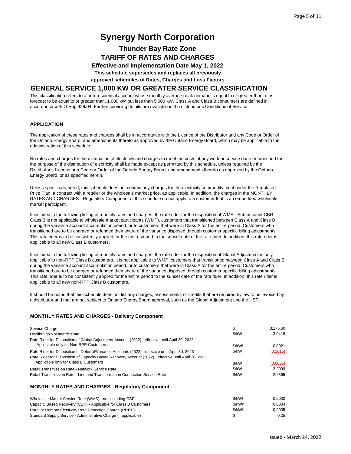## **Thunder Bay Rate Zone TARIFF OF RATES AND CHARGES**

**Effective and Implementation Date May 1, 2022 This schedule supersedes and replaces all previously**

**approved schedules of Rates, Charges and Loss Factors**

### **GENERAL SERVICE 1,000 KW OR GREATER SERVICE CLASSIFICATION**

This classification refers to a non-residential account whose monthly average peak demand is equal to or greater than, or is forecast to be equal to or greater than, 1,000 kW but less than 5,000 kW. Class A and Class B consumers are defined in accordance with O.Reg.429/04. Further servicing details are available in the distributor's Conditions of Service.

#### **APPLICATION**

The application of these rates and charges shall be in accordance with the Licence of the Distributor and any Code or Order of the Ontario Energy Board, and amendments thereto as approved by the Ontario Energy Board, which may be applicable to the administration of this schedule.

No rates and charges for the distribution of electricity and charges to meet the costs of any work or service done or furnished for the purpose of the distribution of electricity shall be made except as permitted by this schedule, unless required by the Distributor's Licence or a Code or Order of the Ontario Energy Board, and amendments thereto as approved by the Ontario Energy Board, or as specified herein.

Unless specifically noted, this schedule does not contain any charges for the electricity commodity, be it under the Regulated Price Plan, a contract with a retailer or the wholesale market price, as applicable. In addition, the charges in the MONTHLY RATES AND CHARGES - Regulatory Component of this schedule do not apply to a customer that is an embedded wholesale market participant.

If included in the following listing of monthly rates and charges, the rate rider for the disposition of WMS - Sub-account CBR Class B is not applicable to wholesale market participants (WMP), customers that transitioned between Class A and Class B during the variance account accumulation period, or to customers that were in Class A for the entire period. Customers who transitioned are to be charged or refunded their share of the variance disposed through customer specific billing adjustments. This rate rider is to be consistently applied for the entire period to the sunset date of the rate rider. In addition, this rate rider is applicable to all new Class B customers.

If included in the following listing of monthly rates and charges, the rate rider for the disposition of Global Adjustment is only applicable to non-RPP Class B customers. It is not applicable to WMP, customers that transitioned between Class A and Class B during the variance account accumulation period, or to customers that were in Class A for the entire period. Customers who transitioned are to be charged or refunded their share of the variance disposed through customer specific billing adjustments. This rate rider is to be consistently applied for the entire period to the sunset date of the rate rider. In addition, this rate rider is applicable to all new non-RPP Class B customers.

It should be noted that this schedule does not list any charges, assessments, or credits that are required by law to be invoiced by a distributor and that are not subject to Ontario Energy Board approval, such as the Global Adjustment and the HST.

#### **MONTHLY RATES AND CHARGES - Delivery Component**

Standard Supply Service - Administrative Charge (if applicable)

| Service Charge                                                                                                                                 | \$     | 3,175.60 |
|------------------------------------------------------------------------------------------------------------------------------------------------|--------|----------|
| Distribution Volumetric Rate                                                                                                                   | \$/kW  | 3.0416   |
| Rate Rider for Disposition of Global Adjustment Account (2022) - effective until April 30, 2023<br>Applicable only for Non-RPP Customers       | \$/kWh | 0.0021   |
| Rate Rider for Disposition of Deferral/Variance Accounts (2022) - effective until April 30, 2023                                               | \$/kW  | (0.2616) |
| Rate Rider for Disposition of Capacity Based Recovery Account (2022) - effective until April 30, 2023<br>Applicable only for Class B Customers | \$/kW  | (0.0095) |
| Retail Transmission Rate - Network Service Rate                                                                                                | \$/kW  | 3.2099   |
| Retail Transmission Rate - Line and Transformation Connection Service Rate                                                                     | \$/kW  | 2.2365   |
| <b>MONTHLY RATES AND CHARGES - Requiatory Component</b>                                                                                        |        |          |
| Wholesale Market Service Rate (WMS) - not including CBR                                                                                        | \$/kWh | 0.0030   |
| Capacity Based Recovery (CBR) - Applicable for Class B Customers                                                                               | \$/kWh | 0.0004   |
| Rural or Remote Electricity Rate Protection Charge (RRRP)                                                                                      | \$/kWh | 0.0005   |

 $$ 0.25$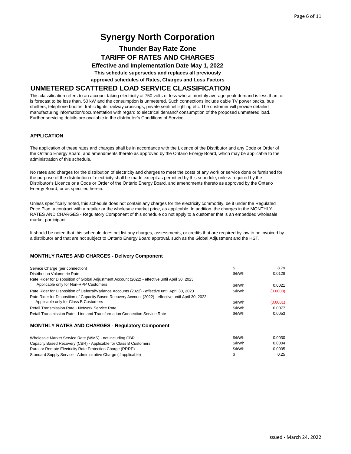### **Thunder Bay Rate Zone TARIFF OF RATES AND CHARGES**

**Effective and Implementation Date May 1, 2022 This schedule supersedes and replaces all previously**

**approved schedules of Rates, Charges and Loss Factors**

#### **UNMETERED SCATTERED LOAD SERVICE CLASSIFICATION**

This classification refers to an account taking electricity at 750 volts or less whose monthly average peak demand is less than, or is forecast to be less than, 50 kW and the consumption is unmetered. Such connections include cable TV power packs, bus shelters, telephone booths, traffic lights, railway crossings, private sentinel lighting etc. The customer will provide detailed manufacturing information/documentation with regard to electrical demand/ consumption of the proposed unmetered load. Further servicing details are available in the distributor's Conditions of Service.

#### **APPLICATION**

The application of these rates and charges shall be in accordance with the Licence of the Distributor and any Code or Order of the Ontario Energy Board, and amendments thereto as approved by the Ontario Energy Board, which may be applicable to the administration of this schedule.

No rates and charges for the distribution of electricity and charges to meet the costs of any work or service done or furnished for the purpose of the distribution of electricity shall be made except as permitted by this schedule, unless required by the Distributor's Licence or a Code or Order of the Ontario Energy Board, and amendments thereto as approved by the Ontario Energy Board, or as specified herein.

Unless specifically noted, this schedule does not contain any charges for the electricity commodity, be it under the Regulated Price Plan, a contract with a retailer or the wholesale market price, as applicable. In addition, the charges in the MONTHLY RATES AND CHARGES - Regulatory Component of this schedule do not apply to a customer that is an embedded wholesale market participant.

It should be noted that this schedule does not list any charges, assessments, or credits that are required by law to be invoiced by a distributor and that are not subject to Ontario Energy Board approval, such as the Global Adjustment and the HST.

#### **MONTHLY RATES AND CHARGES - Delivery Component**

| Service Charge (per connection)                                                                       | \$     | 8.79     |
|-------------------------------------------------------------------------------------------------------|--------|----------|
| Distribution Volumetric Rate                                                                          | \$/kWh | 0.0128   |
| Rate Rider for Disposition of Global Adjustment Account (2022) - effective until April 30, 2023       |        |          |
| Applicable only for Non-RPP Customers                                                                 | \$/kWh | 0.0021   |
| Rate Rider for Disposition of Deferral/Variance Accounts (2022) - effective until April 30, 2023      | \$/kWh | (0.0008) |
| Rate Rider for Disposition of Capacity Based Recovery Account (2022) - effective until April 30, 2023 |        |          |
| Applicable only for Class B Customers                                                                 | \$/kWh | (0.0001) |
| Retail Transmission Rate - Network Service Rate                                                       | \$/kWh | 0.0077   |
| Retail Transmission Rate - Line and Transformation Connection Service Rate                            | \$/kWh | 0.0053   |
| <b>MONTHLY RATES AND CHARGES - Regulatory Component</b>                                               |        |          |
| Wholesale Market Service Rate (WMS) - not including CBR                                               | \$/kWh | 0.0030   |
| Capacity Based Recovery (CBR) - Applicable for Class B Customers                                      | \$/kWh | 0.0004   |
| Rural or Remote Electricity Rate Protection Charge (RRRP)                                             | \$/kWh | 0.0005   |
| Standard Supply Service - Administrative Charge (if applicable)                                       | S      | 0.25     |

Standard Supply Service - Administrative Charge (if applicable)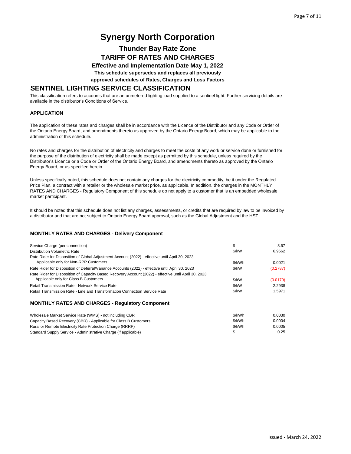### **Thunder Bay Rate Zone TARIFF OF RATES AND CHARGES**

**Effective and Implementation Date May 1, 2022 This schedule supersedes and replaces all previously**

**approved schedules of Rates, Charges and Loss Factors**

### **SENTINEL LIGHTING SERVICE CLASSIFICATION**

This classification refers to accounts that are an unmetered lighting load supplied to a sentinel light. Further servicing details are available in the distributor's Conditions of Service.

#### **APPLICATION**

The application of these rates and charges shall be in accordance with the Licence of the Distributor and any Code or Order of the Ontario Energy Board, and amendments thereto as approved by the Ontario Energy Board, which may be applicable to the administration of this schedule.

No rates and charges for the distribution of electricity and charges to meet the costs of any work or service done or furnished for the purpose of the distribution of electricity shall be made except as permitted by this schedule, unless required by the Distributor's Licence or a Code or Order of the Ontario Energy Board, and amendments thereto as approved by the Ontario Energy Board, or as specified herein.

Unless specifically noted, this schedule does not contain any charges for the electricity commodity, be it under the Regulated Price Plan, a contract with a retailer or the wholesale market price, as applicable. In addition, the charges in the MONTHLY RATES AND CHARGES - Regulatory Component of this schedule do not apply to a customer that is an embedded wholesale market participant.

It should be noted that this schedule does not list any charges, assessments, or credits that are required by law to be invoiced by a distributor and that are not subject to Ontario Energy Board approval, such as the Global Adjustment and the HST.

| Service Charge (per connection)                                                                                                                | \$     | 8.67     |
|------------------------------------------------------------------------------------------------------------------------------------------------|--------|----------|
| Distribution Volumetric Rate                                                                                                                   | \$/kW  | 6.9562   |
| Rate Rider for Disposition of Global Adjustment Account (2022) - effective until April 30, 2023<br>Applicable only for Non-RPP Customers       | \$/kWh | 0.0021   |
| Rate Rider for Disposition of Deferral/Variance Accounts (2022) - effective until April 30, 2023                                               | \$/kW  | (0.2787) |
| Rate Rider for Disposition of Capacity Based Recovery Account (2022) - effective until April 30, 2023<br>Applicable only for Class B Customers | \$/kW  | (0.0179) |
| Retail Transmission Rate - Network Service Rate                                                                                                | \$/kW  | 2.2938   |
| Retail Transmission Rate - Line and Transformation Connection Service Rate                                                                     | \$/kW  | 1.5971   |
| <b>MONTHLY RATES AND CHARGES - Requiatory Component</b>                                                                                        |        |          |

| Wholesale Market Service Rate (WMS) - not including CBR          | \$/kWh | 0.0030 |
|------------------------------------------------------------------|--------|--------|
| Capacity Based Recovery (CBR) - Applicable for Class B Customers | \$/kWh | 0.0004 |
| Rural or Remote Electricity Rate Protection Charge (RRRP)        | \$/kWh | 0.0005 |
| Standard Supply Service - Administrative Charge (if applicable)  |        | 0.25   |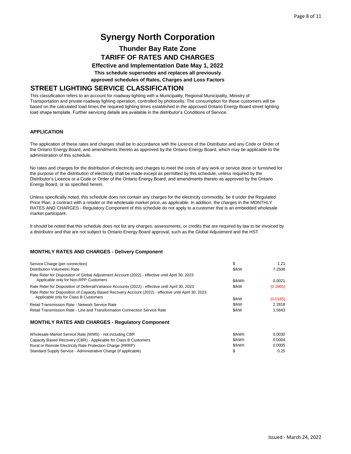### **Thunder Bay Rate Zone TARIFF OF RATES AND CHARGES**

**Effective and Implementation Date May 1, 2022 This schedule supersedes and replaces all previously**

**approved schedules of Rates, Charges and Loss Factors**

### **STREET LIGHTING SERVICE CLASSIFICATION**

This classification refers to an account for roadway lighting with a Municipality, Regional Municipality, Ministry of Transportation and private roadway lighting operation, controlled by photocells. The consumption for these customers will be based on the calculated load times the required lighting times established in the approved Ontario Energy Board street lighting load shape template. Further servicing details are available in the distributor's Conditions of Service.

#### **APPLICATION**

The application of these rates and charges shall be in accordance with the Licence of the Distributor and any Code or Order of the Ontario Energy Board, and amendments thereto as approved by the Ontario Energy Board, which may be applicable to the administration of this schedule.

No rates and charges for the distribution of electricity and charges to meet the costs of any work or service done or furnished for the purpose of the distribution of electricity shall be made except as permitted by this schedule, unless required by the Distributor's Licence or a Code or Order of the Ontario Energy Board, and amendments thereto as approved by the Ontario Energy Board, or as specified herein.

Unless specifically noted, this schedule does not contain any charges for the electricity commodity, be it under the Regulated Price Plan, a contract with a retailer or the wholesale market price, as applicable. In addition, the charges in the MONTHLY RATES AND CHARGES - Regulatory Component of this schedule do not apply to a customer that is an embedded wholesale market participant.

It should be noted that this schedule does not list any charges, assessments, or credits that are required by law to be invoiced by a distributor and that are not subject to Ontario Energy Board approval, such as the Global Adjustment and the HST.

#### **MONTHLY RATES AND CHARGES - Delivery Component**

| Service Charge (per connection)                                                                                                                | \$     | 1.21     |
|------------------------------------------------------------------------------------------------------------------------------------------------|--------|----------|
| Distribution Volumetric Rate                                                                                                                   | \$/kW  | 7.2508   |
| Rate Rider for Disposition of Global Adjustment Account (2022) - effective until April 30, 2023<br>Applicable only for Non-RPP Customers       | \$/kWh | 0.0021   |
| Rate Rider for Disposition of Deferral/Variance Accounts (2022) - effective until April 30, 2023                                               | \$/kW  | (0.2865) |
| Rate Rider for Disposition of Capacity Based Recovery Account (2022) - effective until April 30, 2023<br>Applicable only for Class B Customers | \$/kW  | (0.0185) |
| Retail Transmission Rate - Network Service Rate                                                                                                | \$/kW  | 2.2818   |
| Retail Transmission Rate - Line and Transformation Connection Service Rate                                                                     | \$/kW  | 1.5643   |
| <b>MONTHLY RATES AND CHARGES - Regulatory Component</b>                                                                                        |        |          |
| Wholesale Market Service Rate (WMS) - not including CBR                                                                                        | \$/kWh | 0.0030   |
| Capacity Based Recovery (CBR) - Applicable for Class B Customers                                                                               | \$/kWh | 0.0004   |

Rural or Remote Electricity Rate Protection Charge (RRRP)

Standard Supply Service - Administrative Charge (if applicable)

\$/kWh 0.0005 \$ 0.25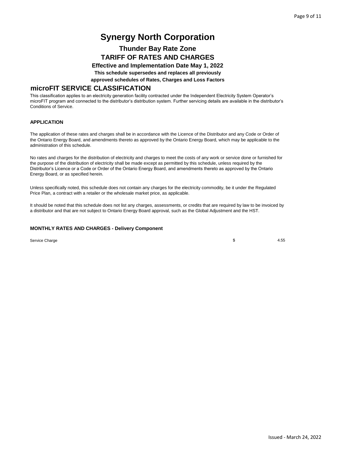## **Thunder Bay Rate Zone TARIFF OF RATES AND CHARGES**

**Effective and Implementation Date May 1, 2022 This schedule supersedes and replaces all previously**

**approved schedules of Rates, Charges and Loss Factors**

### **microFIT SERVICE CLASSIFICATION**

This classification applies to an electricity generation facility contracted under the Independent Electricity System Operator's microFIT program and connected to the distributor's distribution system. Further servicing details are available in the distributor's Conditions of Service.

#### **APPLICATION**

The application of these rates and charges shall be in accordance with the Licence of the Distributor and any Code or Order of the Ontario Energy Board, and amendments thereto as approved by the Ontario Energy Board, which may be applicable to the administration of this schedule.

No rates and charges for the distribution of electricity and charges to meet the costs of any work or service done or furnished for the purpose of the distribution of electricity shall be made except as permitted by this schedule, unless required by the Distributor's Licence or a Code or Order of the Ontario Energy Board, and amendments thereto as approved by the Ontario Energy Board, or as specified herein.

Unless specifically noted, this schedule does not contain any charges for the electricity commodity, be it under the Regulated Price Plan, a contract with a retailer or the wholesale market price, as applicable.

It should be noted that this schedule does not list any charges, assessments, or credits that are required by law to be invoiced by a distributor and that are not subject to Ontario Energy Board approval, such as the Global Adjustment and the HST.

#### **MONTHLY RATES AND CHARGES - Delivery Component**

Service Charge **4.55** 4.55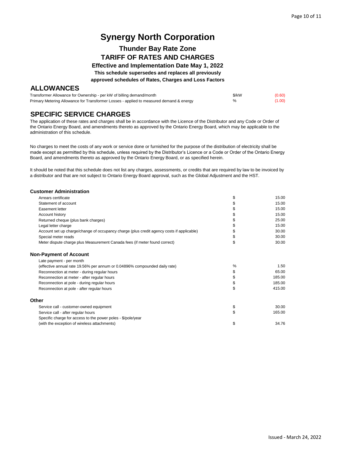## **Thunder Bay Rate Zone TARIFF OF RATES AND CHARGES**

**Effective and Implementation Date May 1, 2022 This schedule supersedes and replaces all previously**

**approved schedules of Rates, Charges and Loss Factors**

### **ALLOWANCES**

| Transformer Allowance for Ownership - per kW of billing demand/month                    | \$/kW | (0.60) |
|-----------------------------------------------------------------------------------------|-------|--------|
| Primary Metering Allowance for Transformer Losses - applied to measured demand & energy | %     | (1.00) |

### **SPECIFIC SERVICE CHARGES**

The application of these rates and charges shall be in accordance with the Licence of the Distributor and any Code or Order of the Ontario Energy Board, and amendments thereto as approved by the Ontario Energy Board, which may be applicable to the administration of this schedule.

No charges to meet the costs of any work or service done or furnished for the purpose of the distribution of electricity shall be made except as permitted by this schedule, unless required by the Distributor's Licence or a Code or Order of the Ontario Energy Board, and amendments thereto as approved by the Ontario Energy Board, or as specified herein.

It should be noted that this schedule does not list any charges, assessments, or credits that are required by law to be invoiced by a distributor and that are not subject to Ontario Energy Board approval, such as the Global Adjustment and the HST.

#### **Customer Administration**

| Arrears certificate                                                                       | \$ | 15.00  |
|-------------------------------------------------------------------------------------------|----|--------|
| Statement of account                                                                      | S  | 15.00  |
| Easement letter                                                                           |    | 15.00  |
| Account history                                                                           |    | 15.00  |
| Returned cheque (plus bank charges)                                                       | \$ | 25.00  |
| Legal letter charge                                                                       | S  | 15.00  |
| Account set up charge/change of occupancy charge (plus credit agency costs if applicable) | \$ | 30.00  |
| Special meter reads                                                                       | \$ | 30.00  |
| Meter dispute charge plus Measurement Canada fees (if meter found correct)                | \$ | 30.00  |
| <b>Non-Payment of Account</b>                                                             |    |        |
| Late payment - per month                                                                  |    |        |
| (effective annual rate 19.56% per annum or 0.04896% compounded daily rate)                | %  | 1.50   |
| Reconnection at meter - during regular hours                                              | \$ | 65.00  |
| Reconnection at meter - after regular hours                                               | \$ | 185.00 |
| Reconnection at pole - during regular hours                                               | \$ | 185.00 |
| Reconnection at pole - after regular hours                                                | \$ | 415.00 |
| Other                                                                                     |    |        |
| Service call - customer-owned equipment                                                   | \$ | 30.00  |
| Service call - after regular hours                                                        | \$ | 165.00 |
| Specific charge for access to the power poles - \$/pole/year                              |    |        |
| (with the exception of wireless attachments)                                              | \$ | 34.76  |
|                                                                                           |    |        |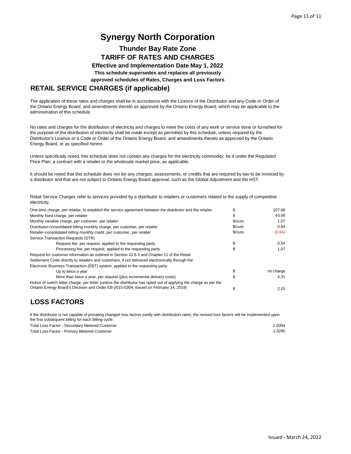### **Thunder Bay Rate Zone TARIFF OF RATES AND CHARGES**

**Effective and Implementation Date May 1, 2022 This schedule supersedes and replaces all previously**

**approved schedules of Rates, Charges and Loss Factors**

### **RETAIL SERVICE CHARGES (if applicable)**

The application of these rates and charges shall be in accordance with the Licence of the Distributor and any Code or Order of the Ontario Energy Board, and amendments thereto as approved by the Ontario Energy Board, which may be applicable to the administration of this schedule.

No rates and charges for the distribution of electricity and charges to meet the costs of any work or service done or furnished for the purpose of the distribution of electricity shall be made except as permitted by this schedule, unless required by the Distributor's Licence or a Code or Order of the Ontario Energy Board, and amendments thereto as approved by the Ontario Energy Board, or as specified herein.

Unless specifically noted, this schedule does not contain any charges for the electricity commodity, be it under the Regulated Price Plan, a contract with a retailer or the wholesale market price, as applicable.

It should be noted that this schedule does not list any charges, assessments, or credits that are required by law to be invoiced by a distributor and that are not subject to Ontario Energy Board approval, such as the Global Adjustment and the HST.

Retail Service Charges refer to services provided by a distributor to retailers or customers related to the supply of competitive electricity.

| One-time charge, per retailer, to establish the service agreement between the distributor and the retailer         |                            | 107.68    |
|--------------------------------------------------------------------------------------------------------------------|----------------------------|-----------|
| Monthly fixed charge, per retailer                                                                                 | S                          | 43.08     |
| Monthly variable charge, per customer, per retailer                                                                | \$/cust.                   | 1.07      |
| Distributor-consolidated billing monthly charge, per customer, per retailer                                        | $\mathcal{S}/\text{cust}.$ | 0.64      |
| Retailer-consolidated billing monthly credit, per customer, per retailer                                           | \$/cut.                    | (0.64)    |
| Service Transaction Requests (STR)                                                                                 |                            |           |
| Request fee, per request, applied to the requesting party                                                          |                            | 0.54      |
| Processing fee, per request, applied to the requesting party                                                       |                            | 1.07      |
| Request for customer information as outlined in Section 10.6.3 and Chapter 11 of the Retail                        |                            |           |
| Settlement Code directly to retailers and customers, if not delivered electronically through the                   |                            |           |
| Electronic Business Transaction (EBT) system, applied to the requesting party                                      |                            |           |
| Up to twice a year                                                                                                 |                            | no charge |
| More than twice a year, per request (plus incremental delivery costs)                                              |                            | 4.31      |
| Notice of switch letter charge, per letter (unless the distributor has opted out of applying the charge as per the |                            |           |
| Ontario Energy Board's Decision and Order EB-2015-0304, issued on February 14, 2019)                               |                            | 2.15      |

## **LOSS FACTORS**

If the distributor is not capable of prorating changed loss factors jointly with distribution rates, the revised loss factors will be implemented upon the first subsequent billing for each billing cycle.

| Total Loss Factor - Secondary Metered Customer | .0394 |
|------------------------------------------------|-------|
| Total Loss Factor - Primary Metered Customer   | .0290 |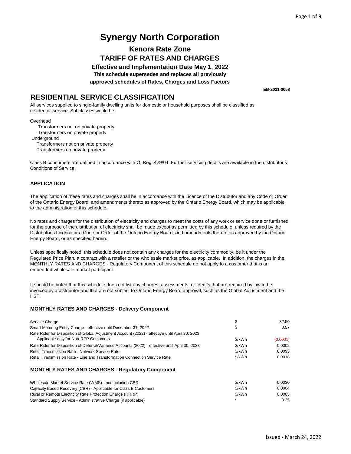## **Kenora Rate Zone TARIFF OF RATES AND CHARGES**

**Effective and Implementation Date May 1, 2022 This schedule supersedes and replaces all previously approved schedules of Rates, Charges and Loss Factors**

**EB-2021-0058**

### **RESIDENTIAL SERVICE CLASSIFICATION**

All services supplied to single-family dwelling units for domestic or household purposes shall be classified as residential service. Subclasses would be:

**Overhead** 

 Transformers not on private property Transformers on private property Underground

Transformers not on private property

Transformers on private property

Class B consumers are defined in accordance with O. Reg. 429/04. Further servicing details are available in the distributor's Conditions of Service.

#### **APPLICATION**

The application of these rates and charges shall be in accordance with the Licence of the Distributor and any Code or Order of the Ontario Energy Board, and amendments thereto as approved by the Ontario Energy Board, which may be applicable to the administration of this schedule.

No rates and charges for the distribution of electricity and charges to meet the costs of any work or service done or furnished for the purpose of the distribution of electricity shall be made except as permitted by this schedule, unless required by the Distributor's Licence or a Code or Order of the Ontario Energy Board, and amendments thereto as approved by the Ontario Energy Board, or as specified herein.

Unless specifically noted, this schedule does not contain any charges for the electricity commodity, be it under the Regulated Price Plan, a contract with a retailer or the wholesale market price, as applicable. In addition, the charges in the MONTHLY RATES AND CHARGES - Regulatory Component of this schedule do not apply to a customer that is an embedded wholesale market participant.

It should be noted that this schedule does not list any charges, assessments, or credits that are required by law to be invoiced by a distributor and that are not subject to Ontario Energy Board approval, such as the Global Adjustment and the HST.

| Service Charge                                                                                                                           | \$     | 32.50    |
|------------------------------------------------------------------------------------------------------------------------------------------|--------|----------|
| Smart Metering Entity Charge - effective until December 31, 2022                                                                         | \$     | 0.57     |
| Rate Rider for Disposition of Global Adjustment Account (2022) - effective until April 30, 2023<br>Applicable only for Non-RPP Customers | \$/kWh | (0.0001) |
| Rate Rider for Disposition of Deferral/Variance Accounts (2022) - effective until April 30, 2023                                         | \$/kWh | 0.0002   |
| Retail Transmission Rate - Network Service Rate                                                                                          | \$/kWh | 0.0093   |
| Retail Transmission Rate - Line and Transformation Connection Service Rate                                                               | \$/kWh | 0.0018   |
| <b>MONTHLY RATES AND CHARGES - Requiatory Component</b>                                                                                  |        |          |
| Wholesale Market Service Rate (WMS) - not including CBR                                                                                  | \$/kWh | 0.0030   |
| Capacity Based Recovery (CBR) - Applicable for Class B Customers                                                                         | \$/kWh | 0.0004   |
| Rural or Remote Electricity Rate Protection Charge (RRRP)                                                                                | \$/kWh | 0.0005   |
| Standard Supply Service - Administrative Charge (if applicable)                                                                          | \$     | 0.25     |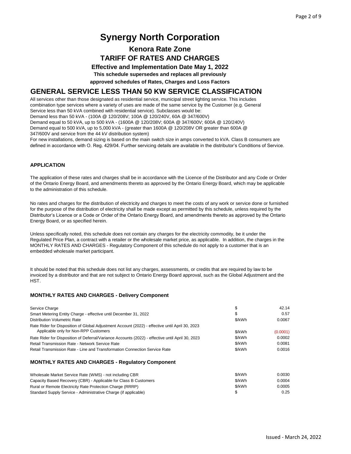## **Kenora Rate Zone TARIFF OF RATES AND CHARGES**

**Effective and Implementation Date May 1, 2022**

**This schedule supersedes and replaces all previously**

**approved schedules of Rates, Charges and Loss Factors**

### **GENERAL SERVICE LESS THAN 50 KW SERVICE CLASSIFICATION**

All services other than those designated as residential service, municipal street lighting service. This includes combination type services where a variety of uses are made of the same service by the Customer (e.g. General Service less than 50 kVA combined with residential service). Subclasses would be:

Demand less than 50 kVA - (100A @ 120/208V; 100A @ 120/240V, 60A @ 347/600V)

Demand equal to 50 kVA, up to 500 kVA - (1600A @ 120/208V; 600A @ 347/600V; 600A @ 120/240V)

Demand equal to 500 kVA, up to 5,000 kVA - (greater than 1600A @ 120/208V OR greater than 600A @

347/600V and service from the 44 kV distribution system)

For new installations, demand sizing is based on the main switch size in amps converted to kVA. Class B consumers are defined in accordance with O. Reg. 429/04. Further servicing details are available in the distributor's Conditions of Service.

#### **APPLICATION**

The application of these rates and charges shall be in accordance with the Licence of the Distributor and any Code or Order of the Ontario Energy Board, and amendments thereto as approved by the Ontario Energy Board, which may be applicable to the administration of this schedule.

No rates and charges for the distribution of electricity and charges to meet the costs of any work or service done or furnished for the purpose of the distribution of electricity shall be made except as permitted by this schedule, unless required by the Distributor's Licence or a Code or Order of the Ontario Energy Board, and amendments thereto as approved by the Ontario Energy Board, or as specified herein.

Unless specifically noted, this schedule does not contain any charges for the electricity commodity, be it under the Regulated Price Plan, a contract with a retailer or the wholesale market price, as applicable. In addition, the charges in the MONTHLY RATES AND CHARGES - Regulatory Component of this schedule do not apply to a customer that is an embedded wholesale market participant.

It should be noted that this schedule does not list any charges, assessments, or credits that are required by law to be invoiced by a distributor and that are not subject to Ontario Energy Board approval, such as the Global Adjustment and the HST.

#### **MONTHLY RATES AND CHARGES - Delivery Component**

Rural or Remote Electricity Rate Protection Charge (RRRP) Standard Supply Service - Administrative Charge (if applicable)

| Service Charge                                                                                   | \$     | 42.14    |
|--------------------------------------------------------------------------------------------------|--------|----------|
| Smart Metering Entity Charge - effective until December 31, 2022                                 | \$     | 0.57     |
| Distribution Volumetric Rate                                                                     | \$/kWh | 0.0067   |
| Rate Rider for Disposition of Global Adjustment Account (2022) - effective until April 30, 2023  |        |          |
| Applicable only for Non-RPP Customers                                                            | \$/kWh | (0.0001) |
| Rate Rider for Disposition of Deferral/Variance Accounts (2022) - effective until April 30, 2023 | \$/kWh | 0.0002   |
| Retail Transmission Rate - Network Service Rate                                                  | \$/kWh | 0.0081   |
| Retail Transmission Rate - Line and Transformation Connection Service Rate                       | \$/kWh | 0.0016   |
| <b>MONTHLY RATES AND CHARGES - Requiatory Component</b>                                          |        |          |
| Wholesale Market Service Rate (WMS) - not including CBR                                          | \$/kWh | 0.0030   |
| Capacity Based Recovery (CBR) - Applicable for Class B Customers                                 | \$/kWh | 0.0004   |

\$/kWh 0.0005  $\$\qquad \qquad 0.25$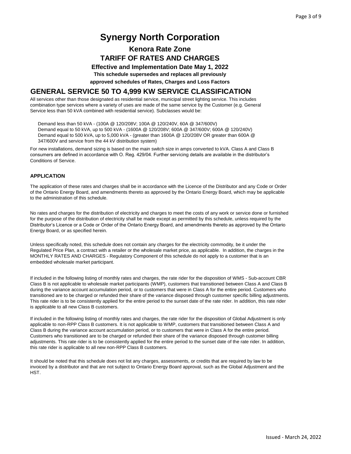## **Kenora Rate Zone TARIFF OF RATES AND CHARGES**

**Effective and Implementation Date May 1, 2022**

**This schedule supersedes and replaces all previously**

**approved schedules of Rates, Charges and Loss Factors**

### **GENERAL SERVICE 50 TO 4,999 KW SERVICE CLASSIFICATION**

All services other than those designated as residential service, municipal street lighting service. This includes combination type services where a variety of uses are made of the same service by the Customer (e.g. General Service less than 50 kVA combined with residential service). Subclasses would be:

 Demand less than 50 kVA - (100A @ 120/208V; 100A @ 120/240V, 60A @ 347/600V) Demand equal to 50 kVA, up to 500 kVA - (1600A @ 120/208V; 600A @ 347/600V; 600A @ 120/240V) Demand equal to 500 kVA, up to 5,000 kVA - (greater than 1600A @ 120/208V OR greater than 600A @ 347/600V and service from the 44 kV distribution system)

For new installations, demand sizing is based on the main switch size in amps converted to kVA. Class A and Class B consumers are defined in accordance with O. Reg. 429/04. Further servicing details are available in the distributor's Conditions of Service.

#### **APPLICATION**

The application of these rates and charges shall be in accordance with the Licence of the Distributor and any Code or Order of the Ontario Energy Board, and amendments thereto as approved by the Ontario Energy Board, which may be applicable to the administration of this schedule.

No rates and charges for the distribution of electricity and charges to meet the costs of any work or service done or furnished for the purpose of the distribution of electricity shall be made except as permitted by this schedule, unless required by the Distributor's Licence or a Code or Order of the Ontario Energy Board, and amendments thereto as approved by the Ontario Energy Board, or as specified herein.

Unless specifically noted, this schedule does not contain any charges for the electricity commodity, be it under the Regulated Price Plan, a contract with a retailer or the wholesale market price, as applicable. In addition, the charges in the MONTHLY RATES AND CHARGES - Regulatory Component of this schedule do not apply to a customer that is an embedded wholesale market participant.

If included in the following listing of monthly rates and charges, the rate rider for the disposition of WMS - Sub-account CBR Class B is not applicable to wholesale market participants (WMP), customers that transitioned between Class A and Class B during the variance account accumulation period, or to customers that were in Class A for the entire period. Customers who transitioned are to be charged or refunded their share of the variance disposed through customer specific billing adjustments. This rate rider is to be consistently applied for the entire period to the sunset date of the rate rider. In addition, this rate rider is applicable to all new Class B customers.

If included in the following listing of monthly rates and charges, the rate rider for the disposition of Global Adjustment is only applicable to non-RPP Class B customers. It is not applicable to WMP, customers that transitioned between Class A and Class B during the variance account accumulation period, or to customers that were in Class A for the entire period. Customers who transitioned are to be charged or refunded their share of the variance disposed through customer billing adjustments. This rate rider is to be consistently applied for the entire period to the sunset date of the rate rider. In addition, this rate rider is applicable to all new non-RPP Class B customers.

It should be noted that this schedule does not list any charges, assessments, or credits that are required by law to be invoiced by a distributor and that are not subject to Ontario Energy Board approval, such as the Global Adjustment and the HST.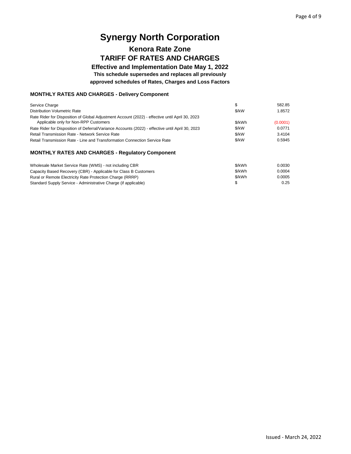## **Kenora Rate Zone TARIFF OF RATES AND CHARGES**

**Effective and Implementation Date May 1, 2022 This schedule supersedes and replaces all previously approved schedules of Rates, Charges and Loss Factors**

## **MONTHLY RATES AND CHARGES - Delivery Component**

| Service Charge<br>Distribution Volumetric Rate                                                   | \$/kW  | 582.85<br>1.8572 |
|--------------------------------------------------------------------------------------------------|--------|------------------|
| Rate Rider for Disposition of Global Adjustment Account (2022) - effective until April 30, 2023  |        |                  |
| Applicable only for Non-RPP Customers                                                            | \$/kWh | (0.0001)         |
| Rate Rider for Disposition of Deferral/Variance Accounts (2022) - effective until April 30, 2023 | \$/kW  | 0.0771           |
| <b>Retail Transmission Rate - Network Service Rate</b>                                           | \$/kW  | 3.4104           |
| Retail Transmission Rate - Line and Transformation Connection Service Rate                       | \$/kW  | 0.5945           |

#### **MONTHLY RATES AND CHARGES - Regulatory Component**

| Wholesale Market Service Rate (WMS) - not including CBR          | \$/kWh | 0.0030 |
|------------------------------------------------------------------|--------|--------|
| Capacity Based Recovery (CBR) - Applicable for Class B Customers | \$/kWh | 0.0004 |
| Rural or Remote Electricity Rate Protection Charge (RRRP)        | \$/kWh | 0.0005 |
| Standard Supply Service - Administrative Charge (if applicable)  |        | 0.25   |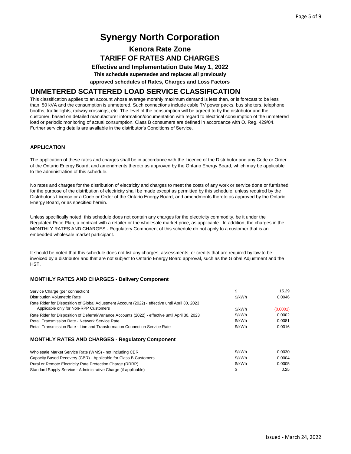## **Kenora Rate Zone TARIFF OF RATES AND CHARGES**

**Effective and Implementation Date May 1, 2022**

**This schedule supersedes and replaces all previously**

**approved schedules of Rates, Charges and Loss Factors**

### **UNMETERED SCATTERED LOAD SERVICE CLASSIFICATION**

This classification applies to an account whose average monthly maximum demand is less than, or is forecast to be less than, 50 kVA and the consumption is unmetered. Such connections include cable TV power packs, bus shelters, telephone booths, traffic lights, railway crossings, etc. The level of the consumption will be agreed to by the distributor and the customer, based on detailed manufacturer information/documentation with regard to electrical consumption of the unmetered load or periodic monitoring of actual consumption. Class B consumers are defined in accordance with O. Reg. 429/04. Further servicing details are available in the distributor's Conditions of Service.

#### **APPLICATION**

The application of these rates and charges shall be in accordance with the Licence of the Distributor and any Code or Order of the Ontario Energy Board, and amendments thereto as approved by the Ontario Energy Board, which may be applicable to the administration of this schedule.

No rates and charges for the distribution of electricity and charges to meet the costs of any work or service done or furnished for the purpose of the distribution of electricity shall be made except as permitted by this schedule, unless required by the Distributor's Licence or a Code or Order of the Ontario Energy Board, and amendments thereto as approved by the Ontario Energy Board, or as specified herein.

Unless specifically noted, this schedule does not contain any charges for the electricity commodity, be it under the Regulated Price Plan, a contract with a retailer or the wholesale market price, as applicable. In addition, the charges in the MONTHLY RATES AND CHARGES - Regulatory Component of this schedule do not apply to a customer that is an embedded wholesale market participant.

It should be noted that this schedule does not list any charges, assessments, or credits that are required by law to be invoiced by a distributor and that are not subject to Ontario Energy Board approval, such as the Global Adjustment and the HST.

#### **MONTHLY RATES AND CHARGES - Delivery Component**

| Service Charge (per connection)                                                                  | S      | 15.29    |
|--------------------------------------------------------------------------------------------------|--------|----------|
| Distribution Volumetric Rate                                                                     | \$/kWh | 0.0046   |
| Rate Rider for Disposition of Global Adjustment Account (2022) - effective until April 30, 2023  |        |          |
| Applicable only for Non-RPP Customers                                                            | \$/kWh | (0.0001) |
| Rate Rider for Disposition of Deferral/Variance Accounts (2022) - effective until April 30, 2023 | \$/kWh | 0.0002   |
| <b>Retail Transmission Rate - Network Service Rate</b>                                           | \$/kWh | 0.0081   |
| Retail Transmission Rate - Line and Transformation Connection Service Rate                       | \$/kWh | 0.0016   |
|                                                                                                  |        |          |

#### **MONTHLY RATES AND CHARGES - Regulatory Component**

| Wholesale Market Service Rate (WMS) - not including CBR          | \$/kWh | 0.0030 |
|------------------------------------------------------------------|--------|--------|
| Capacity Based Recovery (CBR) - Applicable for Class B Customers | \$/kWh | 0.0004 |
| Rural or Remote Electricity Rate Protection Charge (RRRP)        | \$/kWh | 0.0005 |
| Standard Supply Service - Administrative Charge (if applicable)  |        | 0.25   |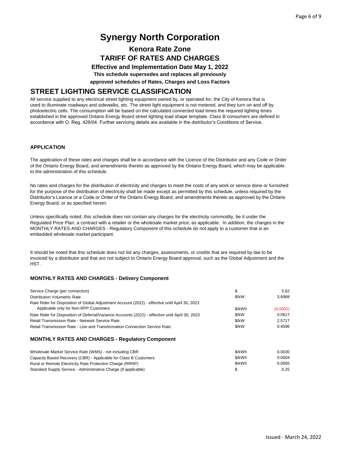## **Kenora Rate Zone TARIFF OF RATES AND CHARGES**

**Effective and Implementation Date May 1, 2022**

**This schedule supersedes and replaces all previously**

**approved schedules of Rates, Charges and Loss Factors**

### **STREET LIGHTING SERVICE CLASSIFICATION**

All service supplied to any electrical street lighting equipment owned by, or operated for, the City of Kenora that is used to illuminate roadways and sidewalks, etc. The street light equipment is not metered, and they turn on and off by photoelectric cells. The consumption will be based on the calculated connected load times the required lighting times established in the approved Ontario Energy Board street lighting load shape template. Class B consumers are defined in accordance with O. Reg. 429/04. Further servicing details are available in the distributor's Conditions of Service.

#### **APPLICATION**

The application of these rates and charges shall be in accordance with the Licence of the Distributor and any Code or Order of the Ontario Energy Board, and amendments thereto as approved by the Ontario Energy Board, which may be applicable to the administration of this schedule.

No rates and charges for the distribution of electricity and charges to meet the costs of any work or service done or furnished for the purpose of the distribution of electricity shall be made except as permitted by this schedule, unless required by the Distributor's Licence or a Code or Order of the Ontario Energy Board, and amendments thereto as approved by the Ontario Energy Board, or as specified herein.

Unless specifically noted, this schedule does not contain any charges for the electricity commodity, be it under the Regulated Price Plan, a contract with a retailer or the wholesale market price, as applicable. In addition, the charges in the MONTHLY RATES AND CHARGES - Regulatory Component of this schedule do not apply to a customer that is an embedded wholesale market participant.

It should be noted that this schedule does not list any charges, assessments, or credits that are required by law to be invoiced by a distributor and that are not subject to Ontario Energy Board approval, such as the Global Adjustment and the HST.

#### **MONTHLY RATES AND CHARGES - Delivery Component**

| Service Charge (per connection)                                                                  | \$     | 5.62     |
|--------------------------------------------------------------------------------------------------|--------|----------|
| Distribution Volumetric Rate                                                                     | \$/kW  | 3.6968   |
| Rate Rider for Disposition of Global Adjustment Account (2022) - effective until April 30, 2023  |        |          |
| Applicable only for Non-RPP Customers                                                            | \$/kWh | (0.0001) |
| Rate Rider for Disposition of Deferral/Variance Accounts (2022) - effective until April 30, 2023 | \$/kW  | 0.0617   |
| Retail Transmission Rate - Network Service Rate                                                  | \$/kW  | 2.5717   |
| Retail Transmission Rate - Line and Transformation Connection Service Rate                       | \$/kW  | 0.4596   |
|                                                                                                  |        |          |

#### **MONTHLY RATES AND CHARGES - Regulatory Component**

| Wholesale Market Service Rate (WMS) - not including CBR          | \$/kWh | 0.0030 |
|------------------------------------------------------------------|--------|--------|
| Capacity Based Recovery (CBR) - Applicable for Class B Customers | \$/kWh | 0.0004 |
| Rural or Remote Electricity Rate Protection Charge (RRRP)        | \$/kWh | 0.0005 |
| Standard Supply Service - Administrative Charge (if applicable)  | S      | 0.25   |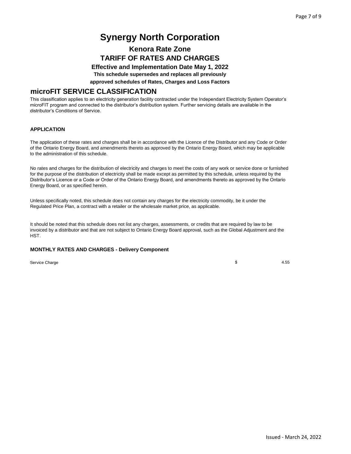## **Kenora Rate Zone TARIFF OF RATES AND CHARGES**

**Effective and Implementation Date May 1, 2022**

**This schedule supersedes and replaces all previously**

**approved schedules of Rates, Charges and Loss Factors**

### **microFIT SERVICE CLASSIFICATION**

This classification applies to an electricity generation facility contracted under the Independant Electricity System Operator's microFIT program and connected to the distributor's distribution system. Further servicing details are available in the distributor's Conditions of Service.

#### **APPLICATION**

The application of these rates and charges shall be in accordance with the Licence of the Distributor and any Code or Order of the Ontario Energy Board, and amendments thereto as approved by the Ontario Energy Board, which may be applicable to the administration of this schedule.

No rates and charges for the distribution of electricity and charges to meet the costs of any work or service done or furnished for the purpose of the distribution of electricity shall be made except as permitted by this schedule, unless required by the Distributor's Licence or a Code or Order of the Ontario Energy Board, and amendments thereto as approved by the Ontario Energy Board, or as specified herein.

Unless specifically noted, this schedule does not contain any charges for the electricity commodity, be it under the Regulated Price Plan, a contract with a retailer or the wholesale market price, as applicable.

It should be noted that this schedule does not list any charges, assessments, or credits that are required by law to be invoiced by a distributor and that are not subject to Ontario Energy Board approval, such as the Global Adjustment and the HST.

#### **MONTHLY RATES AND CHARGES - Delivery Component**

Service Charge

\$ 4.55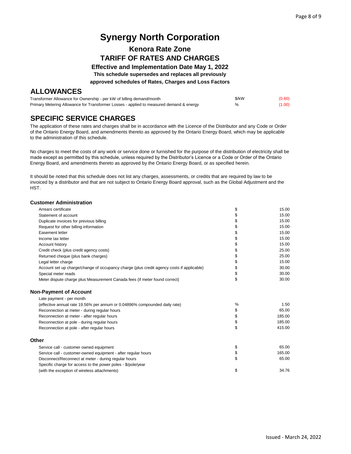## **Kenora Rate Zone TARIFF OF RATES AND CHARGES**

**Effective and Implementation Date May 1, 2022**

**This schedule supersedes and replaces all previously**

**approved schedules of Rates, Charges and Loss Factors**

### **ALLOWANCES**

| Transformer Allowance for Ownership - per kW of billing demand/month                    | \$/kW | (0.60) |
|-----------------------------------------------------------------------------------------|-------|--------|
| Primary Metering Allowance for Transformer Losses - applied to measured demand & energy | %     | (1.00) |

## **SPECIFIC SERVICE CHARGES**

The application of these rates and charges shall be in accordance with the Licence of the Distributor and any Code or Order of the Ontario Energy Board, and amendments thereto as approved by the Ontario Energy Board, which may be applicable to the administration of this schedule.

No charges to meet the costs of any work or service done or furnished for the purpose of the distribution of electricity shall be made except as permitted by this schedule, unless required by the Distributor's Licence or a Code or Order of the Ontario Energy Board, and amendments thereto as approved by the Ontario Energy Board, or as specified herein.

It should be noted that this schedule does not list any charges, assessments, or credits that are required by law to be invoiced by a distributor and that are not subject to Ontario Energy Board approval, such as the Global Adjustment and the HST.

#### **Customer Administration**

| Arrears certificate                                                                       | \$ | 15.00  |
|-------------------------------------------------------------------------------------------|----|--------|
| Statement of account                                                                      | \$ | 15.00  |
| Duplicate invoices for previous billing                                                   | \$ | 15.00  |
| Request for other billing information                                                     | \$ | 15.00  |
| Easement letter                                                                           | \$ | 15.00  |
| Income tax letter                                                                         | \$ | 15.00  |
| Account history                                                                           | \$ | 15.00  |
| Credit check (plus credit agency costs)                                                   | \$ | 25.00  |
| Returned cheque (plus bank charges)                                                       | \$ | 25.00  |
| Legal letter charge                                                                       | \$ | 15.00  |
| Account set up charge/change of occupancy charge (plus credit agency costs if applicable) | \$ | 30.00  |
| Special meter reads                                                                       | \$ | 30.00  |
| Meter dispute charge plus Measurement Canada fees (if meter found correct)                | \$ | 30.00  |
| <b>Non-Payment of Account</b>                                                             |    |        |
| Late payment - per month                                                                  |    |        |
| (effective annual rate 19.56% per annum or 0.04896% compounded daily rate)                | %  | 1.50   |
| Reconnection at meter - during regular hours                                              | \$ | 65.00  |
| Reconnection at meter - after regular hours                                               | \$ | 185.00 |
| Reconnection at pole - during regular hours                                               | \$ | 185.00 |
| Reconnection at pole - after regular hours                                                | \$ | 415.00 |
| Other                                                                                     |    |        |
| Service call - customer owned equipment                                                   | \$ | 65.00  |
| Service call - customer-owned equipment - after regular hours                             | \$ | 165.00 |
| Disconnect/Reconnect at meter - during regular hours                                      | \$ | 65.00  |
| Specific charge for access to the power poles - \$/pole/year                              |    |        |
| (with the exception of wireless attachments)                                              | \$ | 34.76  |
|                                                                                           |    |        |